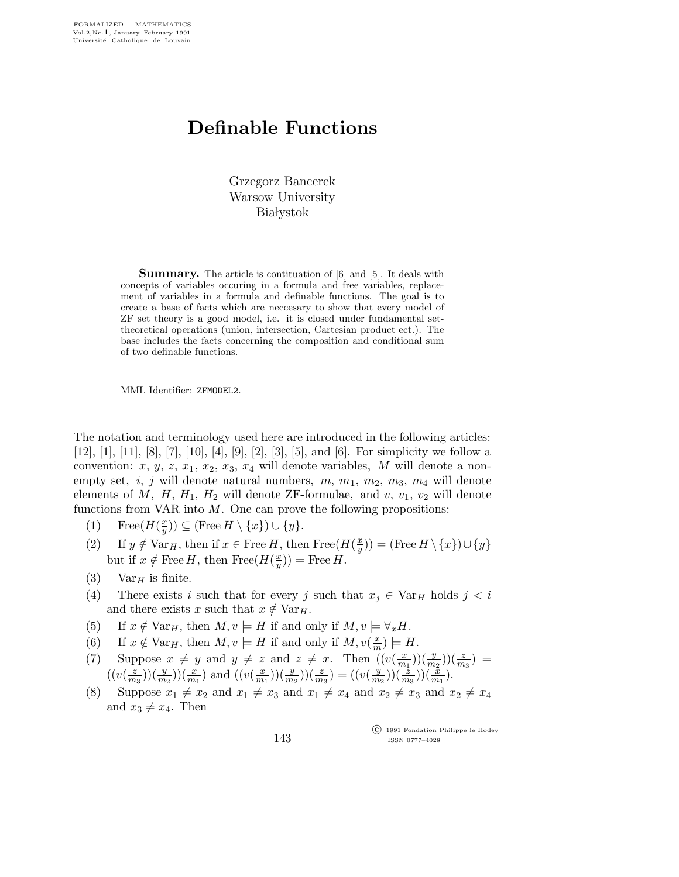## Definable Functions

Grzegorz Bancerek Warsow University **Białystok** 

Summary. The article is contituation of [6] and [5]. It deals with concepts of variables occuring in a formula and free variables, replacement of variables in a formula and definable functions. The goal is to create a base of facts which are neccesary to show that every model of ZF set theory is a good model, i.e. it is closed under fundamental settheoretical operations (union, intersection, Cartesian product ect.). The base includes the facts concerning the composition and conditional sum of two definable functions.

MML Identifier: ZFMODEL2.

The notation and terminology used here are introduced in the following articles: [12], [1], [11], [8], [7], [10], [4], [9], [2], [3], [5], and [6]. For simplicity we follow a convention: x, y, z, x<sub>1</sub>, x<sub>2</sub>, x<sub>3</sub>, x<sub>4</sub> will denote variables, M will denote a nonempty set, i, j will denote natural numbers,  $m, m_1, m_2, m_3, m_4$  will denote elements of  $M$ ,  $H$ ,  $H_1$ ,  $H_2$  will denote ZF-formulae, and v,  $v_1$ ,  $v_2$  will denote functions from VAR into  $M$ . One can prove the following propositions:

- (1) Free( $H(\frac{x}{y})$  $(\frac{x}{y})) \subseteq (\text{Free } H \setminus \{x\}) \cup \{y\}.$
- (2) If  $y \notin \text{Var}_H$ , then if  $x \in \text{Free } H$ , then  $\text{Free}(H(\frac{x}{y}))$  $(\frac{x}{y})$ ) = (Free  $H \setminus \{x\}$ ) $\cup \{y\}$ but if  $x \notin \text{Free } H$ , then  $\text{Free}(H(\frac{x}{y}))$  $(\frac{x}{y}))$  = Free H.
- (3) Var<sub>H</sub> is finite.
- (4) There exists i such that for every j such that  $x_j \in \text{Var}_H$  holds  $j < i$ and there exists x such that  $x \notin \text{Var}_H$ .
- (5) If  $x \notin \text{Var}_H$ , then  $M, v \models H$  if and only if  $M, v \models \forall_x H$ .
- (6) If  $x \notin \text{Var}_H$ , then  $M, v \models H$  if and only if  $M, v(\frac{x}{m})$  $\frac{x}{m}) \models H.$
- (7) Suppose  $x \neq y$  and  $y \neq z$  and  $z \neq x$ . Then  $((v(\frac{x}{m}))$  $\frac{x}{m_1})\big)\left(\frac{y}{m_2}\right)\big(\frac{z}{m_3}\big) =$  $\left(\left(v\right)\frac{z}{m}\right)$  $(\frac{x}{m_3}))(\frac{y}{m_2}))(\frac{x}{m_1})$  and  $((v(\frac{x}{m_1}))$  $(\frac{x}{m_1}))(\frac{y}{m_2}))(\frac{z}{m_3}) = ((v(\frac{y}{m_3}))$  $\frac{y}{m_2})\big)(\frac{z}{m_3})\big)(\frac{\tilde{x}}{m_1}).$
- (8) Suppose  $x_1 \neq x_2$  and  $x_1 \neq x_3$  and  $x_1 \neq x_4$  and  $x_2 \neq x_3$  and  $x_2 \neq x_4$ and  $x_3 \neq x_4$ . Then

 c 1991 Fondation Philippe le Hodey ISSN 0777–4028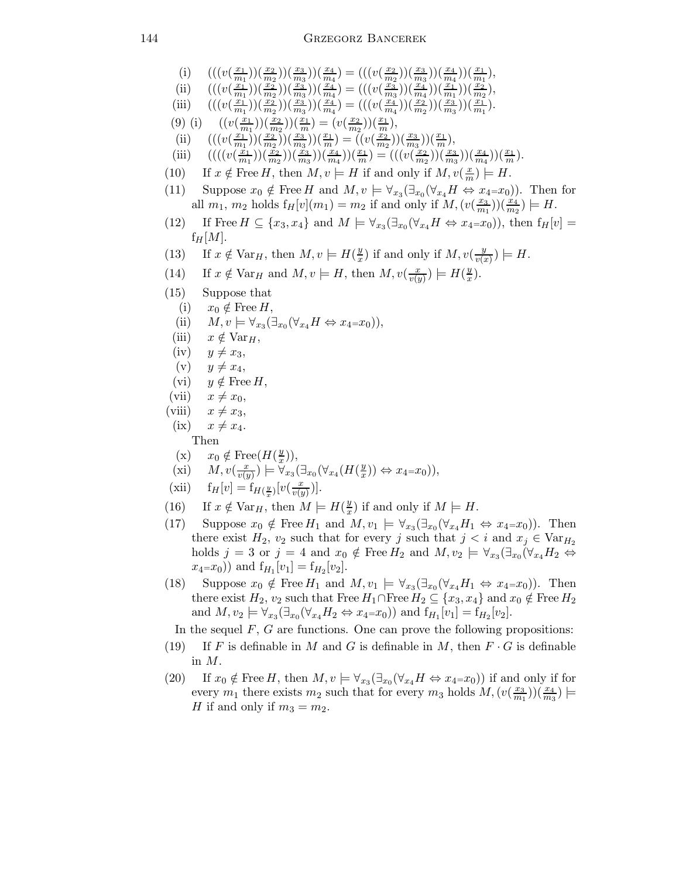- (i)  $(((v(\frac{x_1}{m_1}))^2)(v(\frac{x_2}{m_1}))^2)(v(\frac{x_1}{m_1}))^2)(v(\frac{x_2}{m_1}))^2)(v(\frac{x_1}{m_1}))^2$  $\binom{x_1}{m_1}\binom{x_2}{m_2}\binom{x_3}{m_3}\binom{x_4}{m_4} = (((v(\frac{x_2}{m_2})))$  $\frac{x_2}{m_2})\big)\big(\frac{x_3}{m_3}\big)\big)\big(\frac{x_4}{m_4}\big)\big)\big(\frac{x_1}{m_1}\big),$
- (ii)  $(((v(\frac{x_1}{m_1}))^2$  $\binom{\frac{x_1}{x_1}}{m_1})(\frac{\frac{x_2}{x_2}}{m_2})(\frac{\frac{x_3}{x_3}}{m_3}))(\frac{x_4}{m_4})=(((v(\frac{x_3}{m_3}))$  $\left(\frac{x_3}{m_3}\right)\left(\frac{x_4}{m_4}\right)\left(\frac{x_1}{m_1}\right)\left(\frac{x_2}{m_2}\right),$
- (iii)  $(((v(\frac{x_1}{m_1}))^2$  $\binom{\frac{x_1}{x_1}}{m_1})(\frac{x_2}{m_2})(\frac{x_3}{m_3})(\frac{x_4}{m_4})=((v(\frac{x_4}{m_4}))$  $\frac{\left(x_4\right)}{m_4}\big)\big)\big(\frac{x_2}{m_2}\big)\big)\big(\frac{x_3}{m_3}\big)\big)\big(\frac{x_1}{m_1}\big).$
- (9) (i)  $((v(\frac{x_1}{m_1}))$  $\binom{x_1}{m_1}$ ) $\left(\frac{x_2}{m_2}\right)\left(\frac{x_1}{m}\right) = \left(v\left(\frac{x_2}{m_2}\right)\right)$  $\frac{x_2}{m_2})\big)\big(\frac{x_1}{m}\big),$
- (ii)  $(((v(\frac{x_1}{m_1}))^2$  $\binom{x_1}{m_1}(\frac{x_2}{m_2})(\frac{x_3}{m_3})(\frac{x_1}{m}) = \left((v(\frac{x_2}{m_2}))\right)$  $\frac{x_2}{m_2})\big)\big(\frac{x_3}{m_3}\big)\big)\big(\frac{x_1}{m}\big),$
- (iii)  $(((v(\frac{x_1}{m_1}))^2)(\frac{x_2}{m_1})^2)(\frac{x_1}{m_1})^2$  $\frac{\left(\frac{x_1}{x_2}\right)(\frac{x_2}{m_2}))(\frac{x_3}{m_3}))(\frac{x_4}{m_4}))(\frac{x_1}{m})} = (((v(\frac{x_2}{m_2}))^2)$  $\binom{x_2}{m_2}\big)\big(\frac{x_3}{m_3}\big)\big)\big(\frac{x_4}{m_4}\big)\big)\big(\frac{x_1}{m}\big).$
- (10) If  $x \notin \text{Free } H$ , then  $M, v \models H$  if and only if  $M, v(\frac{x}{m}) \models H$ .
- (11) Suppose  $x_0 \notin \text{Free } H$  and  $M, v \models \forall_{x_3} (\exists_{x_0} (\forall_{x_4} H \Leftrightarrow x_4 = x_0))$ . Then for all  $m_1$ ,  $m_2$  holds  $f_H[v](m_1) = m_2$  if and only if  $M, (v(\frac{x_3}{m_1}))$  $(\frac{x_3}{m_1}))(\frac{x_4}{m_2}) \models H.$
- (12) If Free  $H \subseteq \{x_3, x_4\}$  and  $M \models \forall_{x_3}(\exists_{x_0}(\forall_{x_4}H \Leftrightarrow x_4=x_0)),$  then  $f_H[v] =$  $f_H[M].$
- (13) If  $x \notin \text{Var}_H$ , then  $M, v \models H(\frac{y}{x})$  $\frac{y}{x}$ ) if and only if  $M, v(\frac{y}{v(x)})$  $\frac{y}{v(x)}\big)\models H.$
- (14) If  $x \notin \text{Var}_H$  and  $M, v \models H$ , then  $M, v \left( \frac{x}{v(t)} \right)$  $\frac{x}{v(y)}$ )  $\models$   $H(\frac{y}{x})$  $\frac{y}{x}$ ).
- (15) Suppose that
- (i)  $x_0 \notin \text{Free } H,$
- (ii)  $M, v \models \forall_{x_3} (\exists_{x_0} (\forall_{x_4} H \Leftrightarrow x_4 = x_0)),$
- (iii)  $x \notin \text{Var}_H$ ,
- $(iv)$   $y \neq x_3,$
- $(v)$   $y \neq x_4,$
- (vi)  $y \notin \text{Free } H$ ,
- (vii)  $x \neq x_0$ ,
- (viii)  $x \neq x_3$ ,
- $(ix)$   $x \neq x_4.$ 
	- Then
- (x)  $x_0 \notin \text{Free}(H(\frac{y}{x}))$  $\frac{y}{x})),$
- $(xi)$   $M, v(\frac{x}{y}i)$  $\overline{v(y)}$  )  $\models \breve{\forall}_{x_3}(\exists_{x_0}(\forall_{x_4}(H(\frac{y}{x_4}$  $(x_x^y)) \Leftrightarrow x_4 = x_0)),$
- (xii)  $f_H[v] = f_{H(\frac{y}{x})}[v(\frac{x}{v(y)})]$  $\frac{x}{v(y)}$ ).
- (16) If  $x \notin \text{Var}_H$ , then  $M \models H(\frac{y}{x})$  $\frac{y}{x}$ ) if and only if  $M \models H$ .
- (17) Suppose  $x_0 \notin \text{Free } H_1$  and  $M, v_1 \models \forall_{x_3} (\exists_{x_0} (\forall_{x_4} H_1 \Leftrightarrow x_4 = x_0))$ . Then there exist  $H_2$ ,  $v_2$  such that for every j such that  $j < i$  and  $x_j \in \text{Var}_{H_2}$ holds  $j = 3$  or  $j = 4$  and  $x_0 \notin \text{Free } H_2$  and  $M, v_2 \models \forall_{x_3} (\exists_{x_0} (\forall_{x_4} H_2 \Leftrightarrow$  $x_4=x_0$ ) and  $f_{H_1}[v_1] = f_{H_2}[v_2]$ .
- (18) Suppose  $x_0 \notin \text{Free } H_1$  and  $M, v_1 \models \forall_{x_3} (\exists_{x_0} (\forall_{x_4} H_1 \Leftrightarrow x_4 = x_0))$ . Then there exist  $H_2$ ,  $v_2$  such that Free  $H_1 \cap$  Free  $H_2 \subseteq \{x_3, x_4\}$  and  $x_0 \notin$  Free  $H_2$ and  $M, v_2 \models \forall_{x_3} (\exists_{x_0} (\forall_{x_4} H_2 \Leftrightarrow x_4 = x_0))$  and  $f_{H_1}[v_1] = f_{H_2}[v_2]$ .
	- In the sequel  $F, G$  are functions. One can prove the following propositions:
- (19) If F is definable in M and G is definable in M, then  $F \cdot G$  is definable in M.
- (20) If  $x_0 \notin \text{Free } H$ , then  $M, v \models \forall_{x_3} (\exists_{x_0} (\forall_{x_4} H \Leftrightarrow x_4 = x_0))$  if and only if for every  $m_1$  there exists  $m_2$  such that for every  $m_3$  holds  $M, (v(\frac{x_3}{m_1}))$  $\frac{x_3}{m_1})\big) (\frac{x_4}{m_3}) =$ H if and only if  $m_3 = m_2$ .